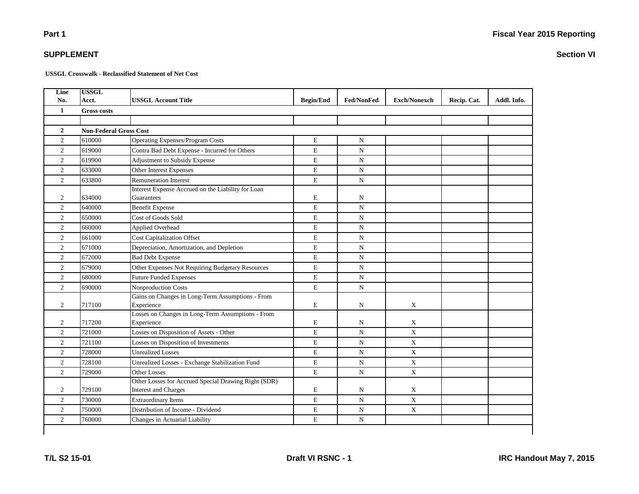#### **Section VI**

**USSGL Crosswalk - Reclassified Statement of Net Cost**

| Line<br>No.    | <b>USSGL</b><br>Acct.         |                                                                              | <b>Begin/End</b> | <b>Fed/NonFed</b> | <b>Exch/Nonexch</b> | Recip. Cat. | Addl. Info. |
|----------------|-------------------------------|------------------------------------------------------------------------------|------------------|-------------------|---------------------|-------------|-------------|
| $\mathbf{1}$   |                               | <b>USSGL Account Title</b>                                                   |                  |                   |                     |             |             |
|                | <b>Gross costs</b>            |                                                                              |                  |                   |                     |             |             |
| $\overline{2}$ | <b>Non-Federal Gross Cost</b> |                                                                              |                  |                   |                     |             |             |
| $\overline{c}$ | 610000                        | <b>Operating Expenses/Program Costs</b>                                      | $\bf E$          | N                 |                     |             |             |
|                |                               |                                                                              |                  |                   |                     |             |             |
| $\overline{2}$ | 619000                        | Contra Bad Debt Expense - Incurred for Others                                | E                | $\mathbf N$       |                     |             |             |
| $\overline{2}$ | 619900                        | Adjustment to Subsidy Expense                                                | ${\bf E}$        | N                 |                     |             |             |
| $\overline{c}$ | 633000                        | Other Interest Expenses                                                      | ${\bf E}$        | $\mathbf N$       |                     |             |             |
| $\overline{2}$ | 633800                        | <b>Remuneration Interest</b>                                                 | E                | N                 |                     |             |             |
| 2              | 634000                        | Interest Expense Accrued on the Liability for Loan<br>Guarantees             | E                | N                 |                     |             |             |
| $\overline{2}$ | 640000                        | <b>Benefit Expense</b>                                                       | E                | $\mathbf N$       |                     |             |             |
| $\overline{c}$ | 650000                        | Cost of Goods Sold                                                           | ${\bf E}$        | N                 |                     |             |             |
| $\overline{2}$ | 660000                        | Applied Overhead                                                             | E                | N                 |                     |             |             |
| $\overline{2}$ | 661000                        | <b>Cost Capitalization Offset</b>                                            | E                | $\mathbf N$       |                     |             |             |
| $\overline{2}$ | 671000                        | Depreciation, Amortization, and Depletion                                    | E                | $\mathbf N$       |                     |             |             |
| $\overline{c}$ | 672000                        | <b>Bad Debt Expense</b>                                                      | E                | $\mathbf N$       |                     |             |             |
| $\overline{2}$ | 679000                        | Other Expenses Not Requiring Budgetary Resources                             | ${\bf E}$        | $\mathbf N$       |                     |             |             |
| $\overline{c}$ | 680000                        | <b>Future Funded Expenses</b>                                                | E                | $\mathbf N$       |                     |             |             |
| $\overline{2}$ | 690000                        | Nonproduction Costs                                                          | E                | $\mathbf N$       |                     |             |             |
| $\overline{2}$ | 717100                        | Gains on Changes in Long-Term Assumptions - From<br>Experience               | E                | $\mathbf N$       | X                   |             |             |
| 2              | 717200                        | Losses on Changes in Long-Term Assumptions - From<br>Experience              | E                | N                 | X                   |             |             |
| $\overline{2}$ | 721000                        | Losses on Disposition of Assets - Other                                      | E                | $\mathbf N$       | $\mathbf X$         |             |             |
| 2              | 721100                        | Losses on Disposition of Investments                                         | E                | N                 | $\mathbf X$         |             |             |
| $\overline{2}$ | 728000                        | <b>Unrealized Losses</b>                                                     | E                | N                 | $\mathbf{X}$        |             |             |
| $\overline{2}$ | 728100                        | Unrealized Losses - Exchange Stabilization Fund                              | E                | N                 | $\mathbf X$         |             |             |
| $\overline{2}$ | 729000                        | <b>Other Losses</b>                                                          | E                | N                 | $\mathbf X$         |             |             |
| $\overline{c}$ | 729100                        | Other Losses for Accrued Special Drawing Right (SDR)<br>Interest and Charges | E                | N                 | $\mathbf X$         |             |             |
| $\overline{2}$ | 730000                        | <b>Extraordinary Items</b>                                                   | $\mathbf E$      | $\mathbf N$       | X                   |             |             |
| $\overline{2}$ | 750000                        | Distribution of Income - Dividend                                            | ${\bf E}$        | $\mathbf N$       | $\mathbf X$         |             |             |
| $\overline{2}$ | 760000                        | Changes in Actuarial Liability                                               | E                | $\mathbf N$       |                     |             |             |

**SUPPLEMENT**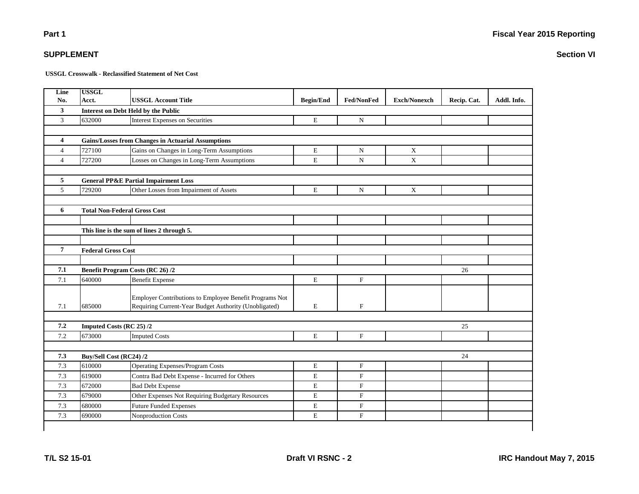**USSGL Crosswalk - Reclassified Statement of Net Cost**

| Line           | <b>USSGL</b>              |                                                           |                  |                   |                     |             |             |
|----------------|---------------------------|-----------------------------------------------------------|------------------|-------------------|---------------------|-------------|-------------|
| No.            | Acct.                     | <b>USSGL Account Title</b>                                | <b>Begin/End</b> | <b>Fed/NonFed</b> | <b>Exch/Nonexch</b> | Recip. Cat. | Addl. Info. |
| 3              |                           | <b>Interest on Debt Held by the Public</b>                |                  |                   |                     |             |             |
| 3              | 632000                    | Interest Expenses on Securities                           | E                | ${\rm N}$         |                     |             |             |
|                |                           |                                                           |                  |                   |                     |             |             |
| 4              |                           | <b>Gains/Losses from Changes in Actuarial Assumptions</b> |                  |                   |                     |             |             |
| $\overline{4}$ | 727100                    | Gains on Changes in Long-Term Assumptions                 | $\mathbf E$      | $\mathbf N$       | $\mathbf X$         |             |             |
| $\overline{4}$ | 727200                    | Losses on Changes in Long-Term Assumptions                | $\mathbf E$      | $\mathbf N$       | $\mathbf X$         |             |             |
|                |                           |                                                           |                  |                   |                     |             |             |
| 5              |                           | <b>General PP&amp;E Partial Impairment Loss</b>           |                  |                   |                     |             |             |
| 5              | 729200                    | Other Losses from Impairment of Assets                    | E                | $\mathbf N$       | $\mathbf{X}$        |             |             |
|                |                           |                                                           |                  |                   |                     |             |             |
| 6              |                           | <b>Total Non-Federal Gross Cost</b>                       |                  |                   |                     |             |             |
|                |                           |                                                           |                  |                   |                     |             |             |
|                |                           | This line is the sum of lines 2 through 5.                |                  |                   |                     |             |             |
|                |                           |                                                           |                  |                   |                     |             |             |
| $\overline{7}$ | <b>Federal Gross Cost</b> |                                                           |                  |                   |                     |             |             |
|                |                           |                                                           |                  |                   |                     |             |             |
| 7.1            |                           | <b>Benefit Program Costs (RC 26) /2</b>                   |                  |                   |                     | 26          |             |
| 7.1            | 640000                    | <b>Benefit Expense</b>                                    | $\mathbf E$      | $\mathbf{F}$      |                     |             |             |
|                |                           |                                                           |                  |                   |                     |             |             |
|                |                           | Employer Contributions to Employee Benefit Programs Not   |                  |                   |                     |             |             |
| 7.1            | 685000                    | Requiring Current-Year Budget Authority (Unobligated)     | $\mathbf E$      | $\mathbf{F}$      |                     |             |             |
|                |                           |                                                           |                  |                   |                     |             |             |
| 7.2            | Imputed Costs (RC 25) /2  |                                                           |                  |                   |                     | 25          |             |
| 7.2            | 673000                    | <b>Imputed Costs</b>                                      | $\mathbf E$      | $\mathbf{F}$      |                     |             |             |
|                |                           |                                                           |                  |                   |                     |             |             |
| 7.3            | Buy/Sell Cost (RC24) /2   |                                                           |                  |                   |                     | 24          |             |
| 7.3            | 610000                    | <b>Operating Expenses/Program Costs</b>                   | $\mathbf E$      | $\mathbf{F}$      |                     |             |             |
| 7.3            | 619000                    | Contra Bad Debt Expense - Incurred for Others             | $\mathbf E$      | $\mathbf{F}$      |                     |             |             |
| 7.3            | 672000                    | <b>Bad Debt Expense</b>                                   | E                | $\mathbf{F}$      |                     |             |             |
| 7.3            | 679000                    | Other Expenses Not Requiring Budgetary Resources          | E                | $\mathbf{F}$      |                     |             |             |
| 7.3            | 680000                    | <b>Future Funded Expenses</b>                             | $\mathbf E$      | $\rm F$           |                     |             |             |
| 7.3            | 690000                    | Nonproduction Costs                                       | $\mathbf E$      | $\mathbf{F}$      |                     |             |             |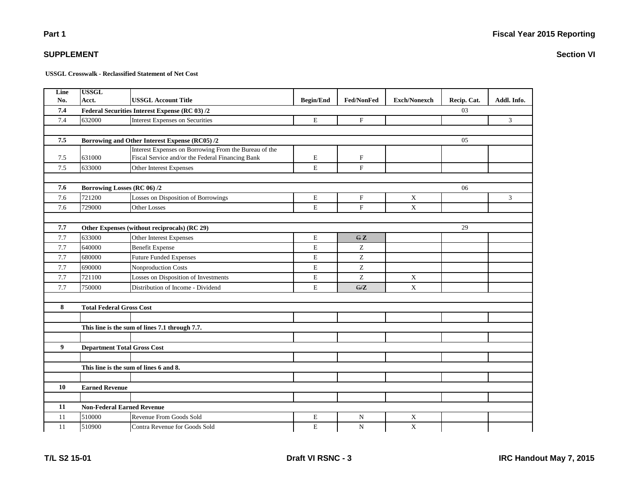| Line    | <b>USSGL</b>                       |                                                       |                  |                           |                     |             |             |
|---------|------------------------------------|-------------------------------------------------------|------------------|---------------------------|---------------------|-------------|-------------|
| No.     | Acct.                              | <b>USSGL Account Title</b>                            | <b>Begin/End</b> | Fed/NonFed                | <b>Exch/Nonexch</b> | Recip. Cat. | Addl. Info. |
| 7.4     |                                    | Federal Securities Interest Expense (RC 03) /2        |                  |                           |                     | 03          |             |
| 7.4     | 632000                             | <b>Interest Expenses on Securities</b>                | $\mathbf E$      | $\mathbf F$               |                     |             | 3           |
|         |                                    |                                                       |                  |                           |                     |             |             |
| 7.5     |                                    | Borrowing and Other Interest Expense (RC05) /2        |                  |                           |                     | 05          |             |
|         |                                    | Interest Expenses on Borrowing From the Bureau of the |                  |                           |                     |             |             |
| 7.5     | 631000                             | Fiscal Service and/or the Federal Financing Bank      | $\mathbf E$      | $\boldsymbol{\mathrm{F}}$ |                     |             |             |
| 7.5     | 633000                             | Other Interest Expenses                               | E                | $\mathbf{F}$              |                     |             |             |
|         |                                    |                                                       |                  |                           |                     |             |             |
| 7.6     | <b>Borrowing Losses (RC 06) /2</b> |                                                       |                  |                           |                     | 06          |             |
| 7.6     | 721200                             | Losses on Disposition of Borrowings                   | E                | ${\bf F}$                 | $\mathbf X$         |             | 3           |
| 7.6     | 729000                             | <b>Other Losses</b>                                   | E                | $\mathbf F$               | $\mathbf X$         |             |             |
|         |                                    |                                                       |                  |                           |                     |             |             |
| 7.7     |                                    | Other Expenses (without reciprocals) (RC 29)          |                  |                           |                     | 29          |             |
| $7.7\,$ | 633000                             | Other Interest Expenses                               | $\mathbf E$      | GZ                        |                     |             |             |
| 7.7     | 640000                             | <b>Benefit Expense</b>                                | ${\bf E}$        | Z                         |                     |             |             |
| 7.7     | 680000                             | <b>Future Funded Expenses</b>                         | ${\bf E}$        | Z                         |                     |             |             |
| 7.7     | 690000                             | Nonproduction Costs                                   | E                | Z                         |                     |             |             |
| 7.7     | 721100                             | Losses on Disposition of Investments                  | ${\bf E}$        | Z                         | $\mathbf X$         |             |             |
| 7.7     | 750000                             | Distribution of Income - Dividend                     | ${\bf E}$        | G/Z                       | $\mathbf X$         |             |             |
|         |                                    |                                                       |                  |                           |                     |             |             |
| 8       | <b>Total Federal Gross Cost</b>    |                                                       |                  |                           |                     |             |             |
|         |                                    |                                                       |                  |                           |                     |             |             |
|         |                                    | This line is the sum of lines 7.1 through 7.7.        |                  |                           |                     |             |             |
|         |                                    |                                                       |                  |                           |                     |             |             |
| 9       | <b>Department Total Gross Cost</b> |                                                       |                  |                           |                     |             |             |
|         |                                    |                                                       |                  |                           |                     |             |             |
|         |                                    | This line is the sum of lines 6 and 8.                |                  |                           |                     |             |             |
|         |                                    |                                                       |                  |                           |                     |             |             |
| 10      | <b>Earned Revenue</b>              |                                                       |                  |                           |                     |             |             |
|         |                                    |                                                       |                  |                           |                     |             |             |
| 11      | <b>Non-Federal Earned Revenue</b>  |                                                       |                  |                           |                     |             |             |
| 11      | 510000                             | Revenue From Goods Sold                               | E                | N                         | X                   |             |             |
| $11\,$  | 510900                             | Contra Revenue for Goods Sold                         | ${\bf E}$        | ${\bf N}$                 | $\mathbf X$         |             |             |

#### **SUPPLEMENT**

**USSGL Crosswalk - Reclassified Statement of Net Cost**

┑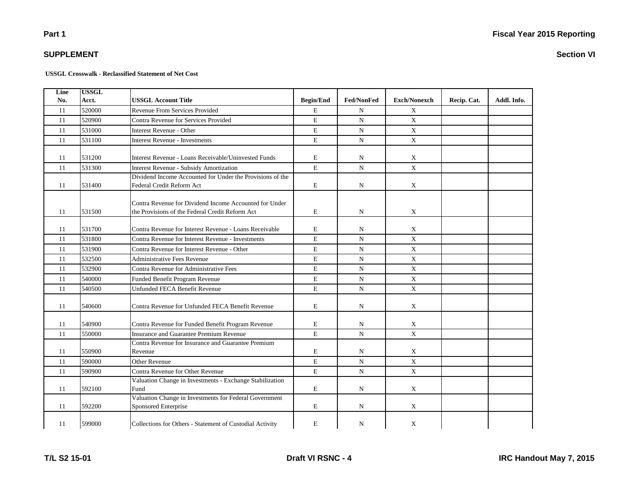**USSGL Crosswalk - Reclassified Statement of Net Cost**

| Line | <b>USSGL</b> |                                                                                                           |                  |                   |                     |             |             |
|------|--------------|-----------------------------------------------------------------------------------------------------------|------------------|-------------------|---------------------|-------------|-------------|
| No.  | Acct.        | <b>USSGL Account Title</b>                                                                                | <b>Begin/End</b> | <b>Fed/NonFed</b> | <b>Exch/Nonexch</b> | Recip. Cat. | Addl. Info. |
| 11   | 520000       | Revenue From Services Provided                                                                            | $\mathbf E$      | N                 | X                   |             |             |
| 11   | 520900       | Contra Revenue for Services Provided                                                                      | $\mathbf E$      | ${\bf N}$         | X                   |             |             |
| 11   | 531000       | Interest Revenue - Other                                                                                  | $\mathbf E$      | $\mathbf N$       | $\mathbf X$         |             |             |
| 11   | 531100       | <b>Interest Revenue - Investments</b>                                                                     | $\mathbf E$      | ${\bf N}$         | $\mathbf X$         |             |             |
| 11   | 531200       | Interest Revenue - Loans Receivable/Uninvested Funds                                                      | $\mathbf E$      | $\mathbf N$       | $\mathbf X$         |             |             |
| 11   | 531300       | <b>Interest Revenue - Subsidy Amortization</b>                                                            | $\mathbf E$      | N                 | X                   |             |             |
| 11   | 531400       | Dividend Income Accounted for Under the Provisions of the<br>Federal Credit Reform Act                    | $\mathbf E$      | $\mathbf N$       | X                   |             |             |
| 11   | 531500       | Contra Revenue for Dividend Income Accounted for Under<br>the Provisions of the Federal Credit Reform Act | E                | N                 | X                   |             |             |
| 11   | 531700       | Contra Revenue for Interest Revenue - Loans Receivable                                                    | E                | N                 | X                   |             |             |
| 11   | 531800       | Contra Revenue for Interest Revenue - Investments                                                         | $\mathbf E$      | $\mathbf N$       | $\mathbf X$         |             |             |
| 11   | 531900       | Contra Revenue for Interest Revenue - Other                                                               | $\mathbf E$      | $\mathbf N$       | X                   |             |             |
| 11   | 532500       | <b>Administrative Fees Revenue</b>                                                                        | $\mathbf E$      | N                 | X                   |             |             |
| 11   | 532900       | Contra Revenue for Administrative Fees                                                                    | $\mathbf E$      | N                 | X                   |             |             |
| 11   | 540000       | Funded Benefit Program Revenue                                                                            | $\mathbf E$      | $\mathbf N$       | X                   |             |             |
| 11   | 540500       | Unfunded FECA Benefit Revenue                                                                             | $\mathbf E$      | $\mathbf N$       | $\mathbf X$         |             |             |
| 11   | 540600       | Contra Revenue for Unfunded FECA Benefit Revenue                                                          | $\mathbf E$      | N                 | X                   |             |             |
| 11   | 540900       | Contra Revenue for Funded Benefit Program Revenue                                                         | E                | N                 | X                   |             |             |
| 11   | 550000       | <b>Insurance and Guarantee Premium Revenue</b>                                                            | E                | $\mathbf N$       | $\mathbf X$         |             |             |
| 11   | 550900       | Contra Revenue for Insurance and Guarantee Premium<br>Revenue                                             | E                | N                 | X                   |             |             |
| 11   | 590000       | Other Revenue                                                                                             | $\mathbf E$      | N                 | X                   |             |             |
| 11   | 590900       | Contra Revenue for Other Revenue                                                                          | $\mathbf E$      | $\mathbf N$       | $\mathbf X$         |             |             |
| 11   | 592100       | Valuation Change in Investments - Exchange Stabilization<br>Fund                                          | $\mathbf E$      | N                 | X                   |             |             |
| 11   | 592200       | Valuation Change in Investments for Federal Government<br>Sponsored Enterprise                            | $\mathbf E$      | N                 | X                   |             |             |
| 11   | 599000       | Collections for Others - Statement of Custodial Activity                                                  | $\mathbf E$      | N                 | $\mathbf X$         |             |             |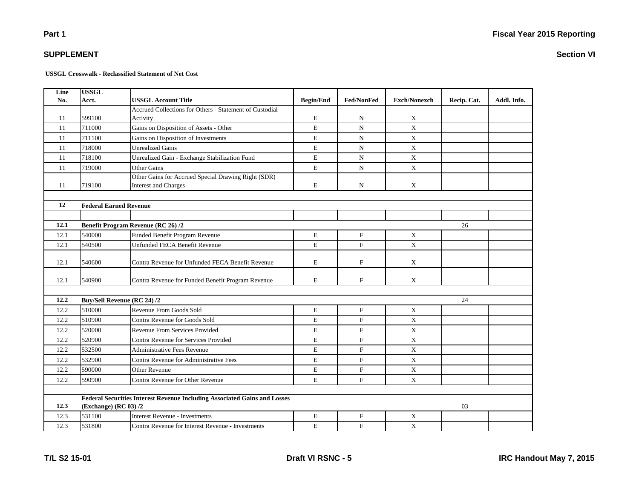**USSGL Crosswalk - Reclassified Statement of Net Cost**

| Line | <b>USSGL</b>                       |                                                                                    |                  |                   |                     |             |             |
|------|------------------------------------|------------------------------------------------------------------------------------|------------------|-------------------|---------------------|-------------|-------------|
| No.  | Acct.                              | <b>USSGL Account Title</b>                                                         | <b>Begin/End</b> | <b>Fed/NonFed</b> | <b>Exch/Nonexch</b> | Recip. Cat. | Addl. Info. |
|      |                                    | Accrued Collections for Others - Statement of Custodial                            |                  |                   |                     |             |             |
| 11   | 599100                             | Activity                                                                           | E                | N                 | X                   |             |             |
| 11   | 711000                             | Gains on Disposition of Assets - Other                                             | E                | N                 | $\mathbf X$         |             |             |
| 11   | 711100                             | Gains on Disposition of Investments                                                | E                | ${\bf N}$         | $\mathbf X$         |             |             |
| 11   | 718000                             | <b>Unrealized Gains</b>                                                            | E                | N                 | $\mathbf X$         |             |             |
| 11   | 718100                             | Unrealized Gain - Exchange Stabilization Fund                                      | E                | N                 | $\mathbf X$         |             |             |
| 11   | 719000                             | <b>Other Gains</b>                                                                 | E                | N                 | $\mathbf X$         |             |             |
| 11   | 719100                             | Other Gains for Accrued Special Drawing Right (SDR)<br><b>Interest and Charges</b> | E                | N                 | X                   |             |             |
| 12   | <b>Federal Earned Revenue</b>      |                                                                                    |                  |                   |                     |             |             |
|      |                                    |                                                                                    |                  |                   |                     |             |             |
| 12.1 |                                    | <b>Benefit Program Revenue (RC 26) /2</b>                                          |                  |                   |                     | 26          |             |
| 12.1 | 540000                             | Funded Benefit Program Revenue                                                     | E                | ${\bf F}$         | $\mathbf X$         |             |             |
| 12.1 | 540500                             | <b>Unfunded FECA Benefit Revenue</b>                                               | E                | $\mathbf{F}$      | $\mathbf X$         |             |             |
| 12.1 | 540600                             | Contra Revenue for Unfunded FECA Benefit Revenue                                   | E                | F                 | X                   |             |             |
| 12.1 | 540900                             | Contra Revenue for Funded Benefit Program Revenue                                  | E                | $\mathbf F$       | $\mathbf X$         |             |             |
| 12.2 | <b>Buy/Sell Revenue (RC 24) /2</b> |                                                                                    |                  |                   |                     | 24          |             |
| 12.2 | 510000                             | Revenue From Goods Sold                                                            | E                | $\mathbf{F}$      | $\mathbf X$         |             |             |
| 12.2 | 510900                             | Contra Revenue for Goods Sold                                                      | E                | $\mathbf{F}$      | $\mathbf X$         |             |             |
| 12.2 | 520000                             | Revenue From Services Provided                                                     | E                | ${\bf F}$         | $\mathbf X$         |             |             |
| 12.2 | 520900                             | Contra Revenue for Services Provided                                               | E                | $\mathbf F$       | $\mathbf X$         |             |             |
| 12.2 | 532500                             | Administrative Fees Revenue                                                        | E                | $\mathbf F$       | $\mathbf X$         |             |             |
| 12.2 | 532900                             | Contra Revenue for Administrative Fees                                             | E                | $_{\rm F}$        | $\mathbf X$         |             |             |
| 12.2 | 590000                             | <b>Other Revenue</b>                                                               | E                | F                 | $\mathbf X$         |             |             |
|      | 590900                             |                                                                                    |                  |                   | $\mathbf X$         |             |             |
| 12.2 |                                    | Contra Revenue for Other Revenue                                                   | E                | $\mathbf{F}$      |                     |             |             |
|      |                                    | Federal Securities Interest Revenue Including Associated Gains and Losses          |                  |                   |                     |             |             |
| 12.3 | (Exchange) (RC 03) /2              |                                                                                    |                  |                   |                     | 03          |             |
| 12.3 | 531100                             | <b>Interest Revenue - Investments</b>                                              | E                | ${\rm F}$         | $\mathbf X$         |             |             |
| 12.3 | 531800                             | Contra Revenue for Interest Revenue - Investments                                  | E                | $\mathbf F$       | $\mathbf X$         |             |             |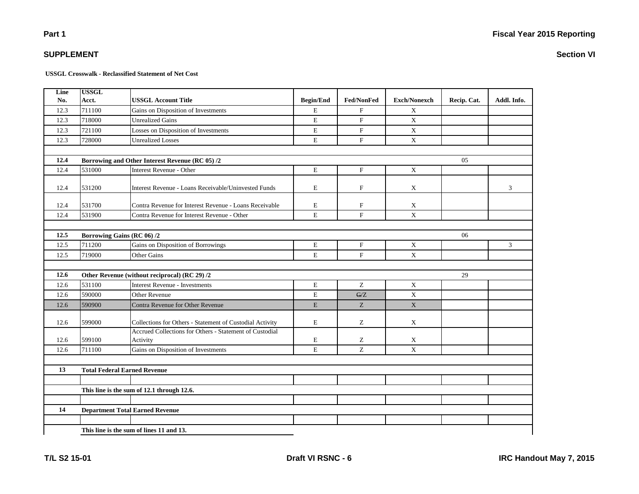**USSGL Crosswalk - Reclassified Statement of Net Cost**

| Line | <b>USSGL</b>                        |                                                                     |                  |                           |                     |             |             |
|------|-------------------------------------|---------------------------------------------------------------------|------------------|---------------------------|---------------------|-------------|-------------|
| No.  | Acct.                               | <b>USSGL Account Title</b>                                          | <b>Begin/End</b> | Fed/NonFed                | <b>Exch/Nonexch</b> | Recip. Cat. | Addl. Info. |
| 12.3 | 711100                              | Gains on Disposition of Investments                                 | E                | $\boldsymbol{\mathrm{F}}$ | X                   |             |             |
| 12.3 | 718000                              | <b>Unrealized Gains</b>                                             | ${\bf E}$        | $\boldsymbol{\mathrm{F}}$ | $\mathbf X$         |             |             |
| 12.3 | 721100                              | Losses on Disposition of Investments                                | ${\bf E}$        | $\mathbf F$               | $\mathbf X$         |             |             |
| 12.3 | 728000                              | <b>Unrealized Losses</b>                                            | E                | $\mathbf{F}$              | $\mathbf X$         |             |             |
|      |                                     |                                                                     |                  |                           |                     |             |             |
| 12.4 |                                     | Borrowing and Other Interest Revenue (RC 05) /2                     |                  |                           |                     | 05          |             |
| 12.4 | 531000                              | <b>Interest Revenue - Other</b>                                     | E                | $\mathbf{F}$              | $\mathbf{X}$        |             |             |
| 12.4 | 531200                              | Interest Revenue - Loans Receivable/Uninvested Funds                | $\bf E$          | F                         | X                   |             | 3           |
| 12.4 | 531700                              | Contra Revenue for Interest Revenue - Loans Receivable              | E                | F                         | X                   |             |             |
| 12.4 | 531900                              | Contra Revenue for Interest Revenue - Other                         | E                | $\mathbf F$               | $\mathbf X$         |             |             |
|      |                                     |                                                                     |                  |                           |                     |             |             |
| 12.5 | Borrowing Gains (RC 06) /2          |                                                                     |                  |                           |                     | 06          |             |
| 12.5 | 711200                              | Gains on Disposition of Borrowings                                  | ${\bf E}$        | ${\bf F}$                 | X                   |             | 3           |
| 12.5 | 719000                              | Other Gains                                                         | E                | $\mathbf{F}$              | $\mathbf{X}$        |             |             |
|      |                                     |                                                                     |                  |                           |                     |             |             |
| 12.6 |                                     | Other Revenue (without reciprocal) (RC 29) /2                       |                  |                           |                     | 29          |             |
| 12.6 | 531100                              | <b>Interest Revenue - Investments</b>                               | ${\bf E}$        | Z                         | $\mathbf X$         |             |             |
| 12.6 | 590000                              | <b>Other Revenue</b>                                                | E                | G/Z                       | X                   |             |             |
| 12.6 | 590900                              | Contra Revenue for Other Revenue                                    | E                | Z                         | $\mathbf X$         |             |             |
| 12.6 | 599000                              | Collections for Others - Statement of Custodial Activity            | E                | Z                         | $\mathbf{X}$        |             |             |
| 12.6 | 599100                              | Accrued Collections for Others - Statement of Custodial<br>Activity | E                | Ζ                         | X                   |             |             |
| 12.6 | 711100                              | Gains on Disposition of Investments                                 | E                | Z.                        | $\mathbf{X}$        |             |             |
|      |                                     |                                                                     |                  |                           |                     |             |             |
| 13   | <b>Total Federal Earned Revenue</b> |                                                                     |                  |                           |                     |             |             |
|      |                                     |                                                                     |                  |                           |                     |             |             |
|      |                                     | This line is the sum of 12.1 through 12.6.                          |                  |                           |                     |             |             |
|      |                                     |                                                                     |                  |                           |                     |             |             |
| 14   |                                     | <b>Department Total Earned Revenue</b>                              |                  |                           |                     |             |             |
|      |                                     |                                                                     |                  |                           |                     |             |             |
|      |                                     | This line is the sum of lines 11 and 13.                            |                  |                           |                     |             |             |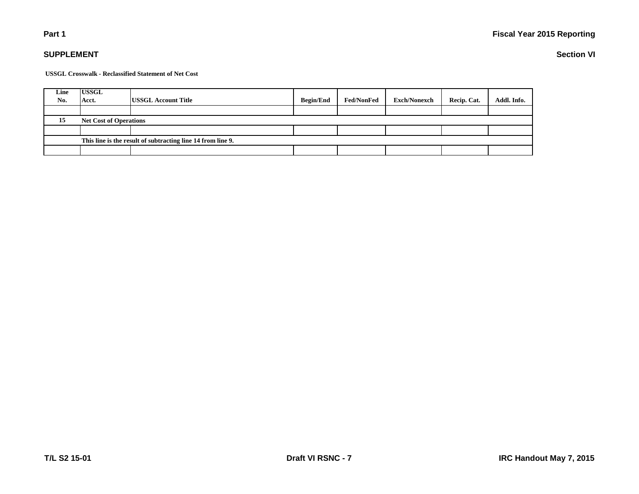#### **Section VI**

**USSGL Crosswalk - Reclassified Statement of Net Cost**

| Line                                                        | <b>USSGL</b>                  |                            |                  |                   |                     |             |             |  |
|-------------------------------------------------------------|-------------------------------|----------------------------|------------------|-------------------|---------------------|-------------|-------------|--|
| No.                                                         | Acct.                         | <b>USSGL Account Title</b> | <b>Begin/End</b> | <b>Fed/NonFed</b> | <b>Exch/Nonexch</b> | Recip. Cat. | Addl. Info. |  |
|                                                             |                               |                            |                  |                   |                     |             |             |  |
| 15                                                          | <b>Net Cost of Operations</b> |                            |                  |                   |                     |             |             |  |
|                                                             |                               |                            |                  |                   |                     |             |             |  |
| This line is the result of subtracting line 14 from line 9. |                               |                            |                  |                   |                     |             |             |  |
|                                                             |                               |                            |                  |                   |                     |             |             |  |

### **Part 1**

**SUPPLEMENT**